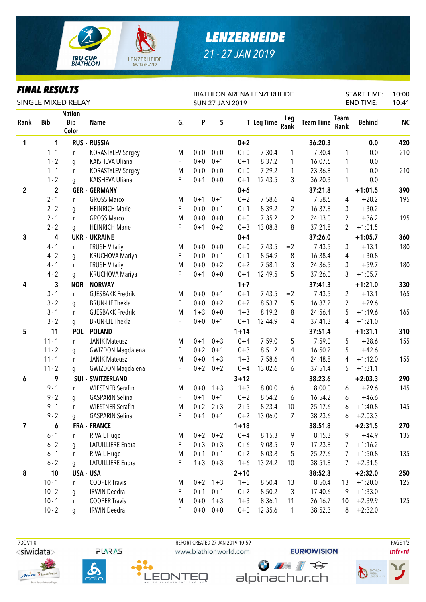

## *LENZERHEIDE 21 - 27 JAN 2019*

## *FINAL RESULTS*

| FINAL KEƏVLIƏ<br>SINGLE MIXED RELAY |                |                                      |                          |    | <b>BIATHLON ARENA LENZERHEIDE</b><br><b>SUN 27 JAN 2019</b> |             |          |            |                |                  | <b>START TIME:</b><br><b>END TIME:</b> |               | 10:00<br>10:41 |
|-------------------------------------|----------------|--------------------------------------|--------------------------|----|-------------------------------------------------------------|-------------|----------|------------|----------------|------------------|----------------------------------------|---------------|----------------|
| Rank                                | <b>Bib</b>     | <b>Nation</b><br><b>Bib</b><br>Color | <b>Name</b>              | G. | P                                                           | S           |          | T Leg Time | Leg<br>Rank    | <b>Team Time</b> | Team<br>Rank                           | <b>Behind</b> | <b>NC</b>      |
| 1                                   | 1              |                                      | <b>RUS - RUSSIA</b>      |    |                                                             |             | $0 + 2$  |            |                | 36:20.3          |                                        | 0.0           | 420            |
|                                     | $1 - 1$        | r                                    | <b>KORASTYLEV Sergey</b> | M  | $0 + 0$                                                     | $0 + 0$     | $0 + 0$  | 7:30.4     | 1              | 7:30.4           | 1                                      | 0.0           | 210            |
|                                     | $1 - 2$        | g                                    | KAISHEVA Uliana          | F. | $0 + 0$                                                     | $0 + 1$     | $0 + 1$  | 8:37.2     | 1              | 16:07.6          | 1                                      | 0.0           |                |
|                                     | $1 - 1$        | r                                    | <b>KORASTYLEV Sergey</b> | M  | $0 + 0$                                                     | $0 + 0$     | $0 + 0$  | 7:29.2     | $\mathbf{1}$   | 23:36.8          | 1                                      | 0.0           | 210            |
|                                     | $1 - 2$        | g                                    | KAISHEVA Uliana          | F  | $0 + 1$                                                     | $0 + 0$     | $0 + 1$  | 12:43.5    | 3              | 36:20.3          | 1                                      | 0.0           |                |
| $\overline{2}$                      | $\overline{2}$ |                                      | <b>GER - GERMANY</b>     |    |                                                             |             | $0+6$    |            |                | 37:21.8          |                                        | $+1:01.5$     | 390            |
|                                     | $2 - 1$        | $\mathsf{r}$                         | <b>GROSS Marco</b>       | M  | $0 + 1$                                                     | $0 + 1$     | $0 + 2$  | 7:58.6     | 4              | 7:58.6           | 4                                      | $+28.2$       | 195            |
|                                     | $2 - 2$        | g                                    | <b>HEINRICH Marie</b>    | F  | $0 + 0$                                                     | $0 + 1$     | $0 + 1$  | 8:39.2     | $\overline{2}$ | 16:37.8          | 3                                      | $+30.2$       |                |
|                                     | $2 - 1$        | $\mathsf{r}$                         | <b>GROSS Marco</b>       | M  | $0 + 0$                                                     | $0 + 0$     | $0 + 0$  | 7:35.2     | 2              | 24:13.0          | 2                                      | $+36.2$       | 195            |
|                                     | $2 - 2$        | g                                    | <b>HEINRICH Marie</b>    | F  | $0 + 1$                                                     | $0 + 2$     | $0 + 3$  | 13:08.8    | 8              | 37:21.8          | 2                                      | $+1:01.5$     |                |
| 3                                   | 4              |                                      | <b>UKR - UKRAINE</b>     |    |                                                             |             | $0 + 4$  |            |                | 37:26.0          |                                        | $+1:05.7$     | 360            |
|                                     | $4 - 1$        | $\mathsf{r}$                         | <b>TRUSH Vitaliy</b>     | M  | $0 + 0$                                                     | $0 + 0$     | $0 + 0$  | 7:43.5     | $=2$           | 7:43.5           | 3                                      | $+13.1$       | 180            |
|                                     | $4 - 2$        | g                                    | <b>KRUCHOVA Mariya</b>   | F  | $0 + 0$                                                     | $0 + 1$     | $0 + 1$  | 8:54.9     | 8              | 16:38.4          | 4                                      | $+30.8$       |                |
|                                     | $4 - 1$        | r                                    | <b>TRUSH Vitaliy</b>     | M  | $0 + 0$                                                     | $0 + 2$     | $0 + 2$  | 7:58.1     | 3              | 24:36.5          | 3                                      | $+59.7$       | 180            |
|                                     | $4 - 2$        | g                                    | KRUCHOVA Mariya          | F  | $0 + 1$                                                     | $0 + 0$     | $0 + 1$  | 12:49.5    | 5              | 37:26.0          | 3                                      | $+1:05.7$     |                |
| 4                                   | 3              |                                      | <b>NOR - NORWAY</b>      |    |                                                             |             | $1 + 7$  |            |                | 37:41.3          |                                        | $+1:21.0$     | 330            |
|                                     | $3 - 1$        | $\mathsf{r}$                         | <b>GJESBAKK Fredrik</b>  | M  | $0 + 0$                                                     | $0 + 1$     | $0 + 1$  | 7:43.5     | $=2$           | 7:43.5           | 2                                      | $+13.1$       | 165            |
|                                     | $3 - 2$        | g                                    | <b>BRUN-LIE Thekla</b>   | F  | $0 + 0$                                                     | $0 + 2$     | $0 + 2$  | 8:53.7     | 5              | 16:37.2          | 2                                      | $+29.6$       |                |
|                                     | $3 - 1$        | $\mathsf{r}$                         | <b>GJESBAKK Fredrik</b>  | M  | $1 + 3$                                                     | $0 + 0$     | $1 + 3$  | 8:19.2     | 8              | 24:56.4          | 5                                      | $+1:19.6$     | 165            |
|                                     | $3 - 2$        | g                                    | <b>BRUN-LIE Thekla</b>   | F  | $0 + 0$                                                     | $0 + 1$     | $0 + 1$  | 12:44.9    | 4              | 37:41.3          | 4                                      | $+1:21.0$     |                |
| 5                                   | 11             |                                      | <b>POL - POLAND</b>      |    |                                                             |             | $1 + 14$ |            |                | 37:51.4          |                                        | $+1:31.1$     | 310            |
|                                     | $11 - 1$       | $\mathsf{r}$                         | <b>JANIK Mateusz</b>     | M  | $0 + 1$                                                     | $0 + 3$     | $0 + 4$  | 7:59.0     | 5              | 7:59.0           | 5                                      | $+28.6$       | 155            |
|                                     | $11 - 2$       | g                                    | <b>GWIZDON Magdalena</b> | F  | $0 + 2$                                                     | $0 + 1$     | $0 + 3$  | 8:51.2     | 4              | 16:50.2          | 5                                      | $+42.6$       |                |
|                                     | $11 - 1$       | r                                    | <b>JANIK Mateusz</b>     | M  | $0 + 0$                                                     | $1 + 3$     | $1 + 3$  | 7:58.6     | 4              | 24:48.8          | 4                                      | $+1:12.0$     | 155            |
|                                     | $11 - 2$       | g                                    | <b>GWIZDON Magdalena</b> | F  | $0 + 2$                                                     | $0 + 2$     | $0 + 4$  | 13:02.6    | 6              | 37:51.4          | 5                                      | $+1:31.1$     |                |
| 6                                   | 9              |                                      | <b>SUI - SWITZERLAND</b> |    |                                                             |             | $3 + 12$ |            |                | 38:23.6          |                                        | $+2:03.3$     | 290            |
|                                     | $9 - 1$        | $\mathsf{r}$                         | <b>WIESTNER Serafin</b>  | M  | $0 + 0$                                                     | $1 + 3$     | $1 + 3$  | 8:00.0     | 6              | 8:00.0           | 6                                      | $+29.6$       | 145            |
|                                     | $9 - 2$        | g                                    | <b>GASPARIN Selina</b>   | F  | $0 + 1$                                                     | $0 + 1$     | $0 + 2$  | 8:54.2     | 6              | 16:54.2          | 6                                      | $+46.6$       |                |
|                                     | $9 - 1$        | r                                    | <b>WIESTNER Serafin</b>  | M  | $0 + 2$                                                     | $2 + 3$     | $2 + 5$  | 8:23.4     | 10             | 25:17.6          | 6                                      | $+1:40.8$     | 145            |
|                                     | $9 - 2$        | q                                    | <b>GASPARIN Selina</b>   | F  |                                                             | $0+1$ $0+1$ | $0 + 2$  | 13:06.0    | $\overline{7}$ | 38:23.6          | 6                                      | $+2:03.3$     |                |
| 7                                   | 6              |                                      | <b>FRA - FRANCE</b>      |    |                                                             |             | $1 + 18$ |            |                | 38:51.8          |                                        | $+2:31.5$     | 270            |
|                                     | $6 - 1$        | $\mathsf{r}$                         | RIVAIL Hugo              | M  | $0 + 2$                                                     | $0 + 2$     | $0 + 4$  | 8:15.3     | 9              | 8:15.3           | 9                                      | $+44.9$       | 135            |
|                                     | $6 - 2$        | g                                    | <b>LATUILLIERE Enora</b> | F  | $0 + 3$                                                     | $0 + 3$     | $0 + 6$  | 9:08.5     | 9              | 17:23.8          | 7                                      | $+1:16.2$     |                |
|                                     | $6 - 1$        | $\mathsf{r}$                         | RIVAIL Hugo              | M  | $0 + 1$                                                     | $0 + 1$     | $0 + 2$  | 8:03.8     | 5              | 25:27.6          | 7                                      | $+1:50.8$     | 135            |
|                                     | $6 - 2$        | g                                    | LATUILLIERE Enora        | F  | $1 + 3$                                                     | $0 + 3$     | $1 + 6$  | 13:24.2    | 10             | 38:51.8          | 7                                      | $+2:31.5$     |                |
| 8                                   | 10             |                                      | USA - USA                |    |                                                             |             | $2 + 10$ |            |                | 38:52.3          |                                        | $+2:32.0$     | 250            |
|                                     | $10 - 1$       | r                                    | <b>COOPER Travis</b>     | M  | $0 + 2$                                                     | $1 + 3$     | $1 + 5$  | 8:50.4     | 13             | 8:50.4           | 13                                     | $+1:20.0$     | 125            |
|                                     | $10 - 2$       | g                                    | <b>IRWIN Deedra</b>      | F  | $0 + 1$                                                     | $0 + 1$     | $0 + 2$  | 8:50.2     | 3              | 17:40.6          | 9                                      | $+1:33.0$     |                |
|                                     | $10 - 1$       | r                                    | <b>COOPER Travis</b>     | M  | $0+0$                                                       | $1 + 3$     | $1 + 3$  | 8:36.1     | 11             | 26:16.7          | 10                                     | $+2:39.9$     | 125            |
|                                     | $10 - 2$       | q                                    | <b>IRWIN Deedra</b>      | F  | $0 + 0$                                                     | $0 + 0$     | $0+0$    | 12:35.6    | $\mathbf{1}$   | 38:52.3          | 8                                      | $+2:32.0$     |                |













 $\mathbf{u}$ front